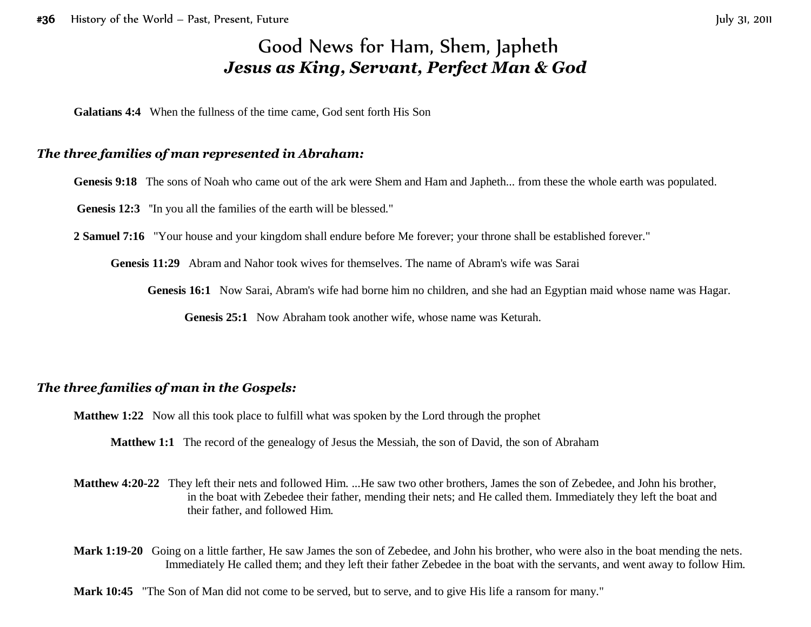# Good News for Ham, Shem, Japheth *Jesus as King, Servant, Perfect Man & God*

**Galatians 4:4** When the fullness of the time came, God sent forth His Son

#### *The three families of man represented in Abraham:*

Genesis 9:18 The sons of Noah who came out of the ark were Shem and Ham and Japheth... from these the whole earth was populated.

Genesis 12:3 "In you all the families of the earth will be blessed."

**2 Samuel 7:16** "Your house and your kingdom shall endure before Me forever; your throne shall be established forever."

**Genesis 11:29** Abram and Nahor took wives for themselves. The name of Abram's wife was Sarai

**Genesis 16:1** Now Sarai, Abram's wife had borne him no children, and she had an Egyptian maid whose name was Hagar.

**Genesis 25:1** Now Abraham took another wife, whose name was Keturah.

#### *The three families of man in the Gospels:*

**Matthew 1:22** Now all this took place to fulfill what was spoken by the Lord through the prophet

**Matthew 1:1** The record of the genealogy of Jesus the Messiah, the son of David, the son of Abraham

- **Matthew 4:20-22** They left their nets and followed Him. ...He saw two other brothers, James the son of Zebedee, and John his brother, in the boat with Zebedee their father, mending their nets; and He called them. Immediately they left the boat and their father, and followed Him.
- **Mark 1:19-20** Going on a little farther, He saw James the son of Zebedee, and John his brother, who were also in the boat mending the nets. Immediately He called them; and they left their father Zebedee in the boat with the servants, and went away to follow Him.

**Mark 10:45** "The Son of Man did not come to be served, but to serve, and to give His life a ransom for many."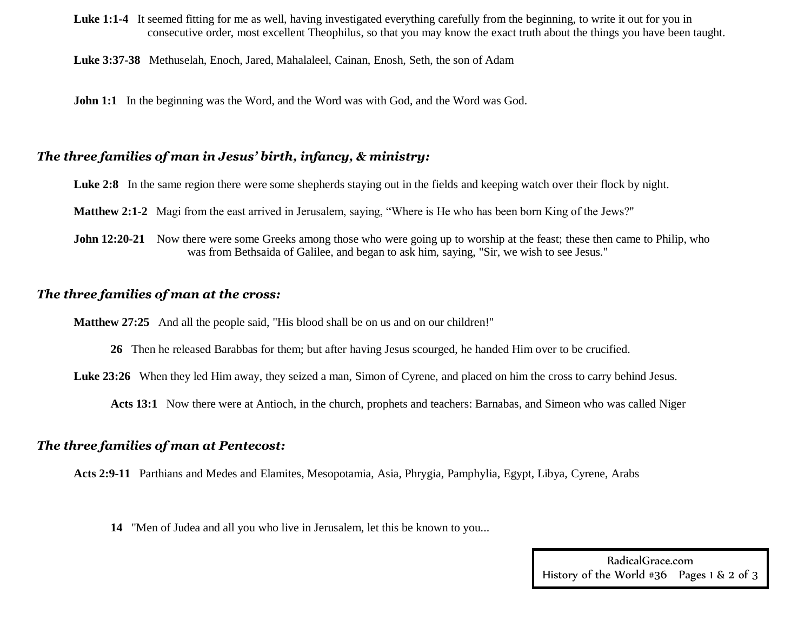Luke 1:1-4 It seemed fitting for me as well, having investigated everything carefully from the beginning, to write it out for you in consecutive order, most excellent Theophilus, so that you may know the exact truth about the things you have been taught.

**Luke 3:37-38** Methuselah, Enoch, Jared, Mahalaleel, Cainan, Enosh, Seth, the son of Adam

**John 1:1** In the beginning was the Word, and the Word was with God, and the Word was God.

#### *The three families of man in Jesus' birth, infancy, & ministry:*

Luke 2:8 In the same region there were some shepherds staying out in the fields and keeping watch over their flock by night.

- **Matthew 2:1-2** Magi from the east arrived in Jerusalem, saying, "Where is He who has been born King of the Jews?"
- **John 12:20-21** Now there were some Greeks among those who were going up to worship at the feast; these then came to Philip, who was from Bethsaida of Galilee, and began to ask him, saying, "Sir, we wish to see Jesus."

#### *The three families of man at the cross:*

**Matthew 27:25** And all the people said, "His blood shall be on us and on our children!"

**26** Then he released Barabbas for them; but after having Jesus scourged, he handed Him over to be crucified.

Luke 23:26 When they led Him away, they seized a man, Simon of Cyrene, and placed on him the cross to carry behind Jesus.

**Acts 13:1** Now there were at Antioch, in the church, prophets and teachers: Barnabas, and Simeon who was called Niger

#### *The three families of man at Pentecost:*

**Acts 2:9-11** Parthians and Medes and Elamites, Mesopotamia, Asia, Phrygia, Pamphylia, Egypt, Libya, Cyrene, Arabs

**14** "Men of Judea and all you who live in Jerusalem, let this be known to you...